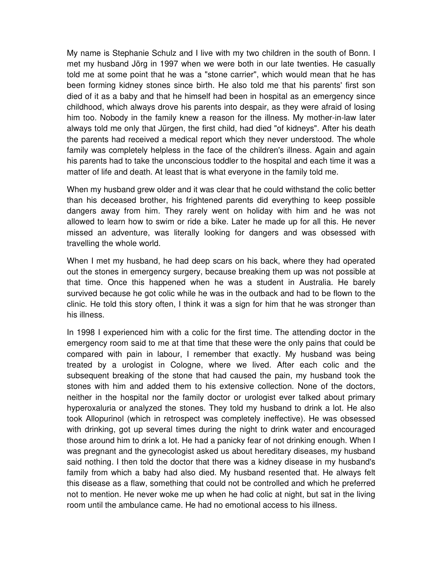My name is Stephanie Schulz and I live with my two children in the south of Bonn. I met my husband Jörg in 1997 when we were both in our late twenties. He casually told me at some point that he was a "stone carrier", which would mean that he has been forming kidney stones since birth. He also told me that his parents' first son died of it as a baby and that he himself had been in hospital as an emergency since childhood, which always drove his parents into despair, as they were afraid of losing him too. Nobody in the family knew a reason for the illness. My mother-in-law later always told me only that Jürgen, the first child, had died "of kidneys". After his death the parents had received a medical report which they never understood. The whole family was completely helpless in the face of the children's illness. Again and again his parents had to take the unconscious toddler to the hospital and each time it was a matter of life and death. At least that is what everyone in the family told me.

When my husband grew older and it was clear that he could withstand the colic better than his deceased brother, his frightened parents did everything to keep possible dangers away from him. They rarely went on holiday with him and he was not allowed to learn how to swim or ride a bike. Later he made up for all this. He never missed an adventure, was literally looking for dangers and was obsessed with travelling the whole world.

When I met my husband, he had deep scars on his back, where they had operated out the stones in emergency surgery, because breaking them up was not possible at that time. Once this happened when he was a student in Australia. He barely survived because he got colic while he was in the outback and had to be flown to the clinic. He told this story often, I think it was a sign for him that he was stronger than his illness.

In 1998 I experienced him with a colic for the first time. The attending doctor in the emergency room said to me at that time that these were the only pains that could be compared with pain in labour, I remember that exactly. My husband was being treated by a urologist in Cologne, where we lived. After each colic and the subsequent breaking of the stone that had caused the pain, my husband took the stones with him and added them to his extensive collection. None of the doctors, neither in the hospital nor the family doctor or urologist ever talked about primary hyperoxaluria or analyzed the stones. They told my husband to drink a lot. He also took Allopurinol (which in retrospect was completely ineffective). He was obsessed with drinking, got up several times during the night to drink water and encouraged those around him to drink a lot. He had a panicky fear of not drinking enough. When I was pregnant and the gynecologist asked us about hereditary diseases, my husband said nothing. I then told the doctor that there was a kidney disease in my husband's family from which a baby had also died. My husband resented that. He always felt this disease as a flaw, something that could not be controlled and which he preferred not to mention. He never woke me up when he had colic at night, but sat in the living room until the ambulance came. He had no emotional access to his illness.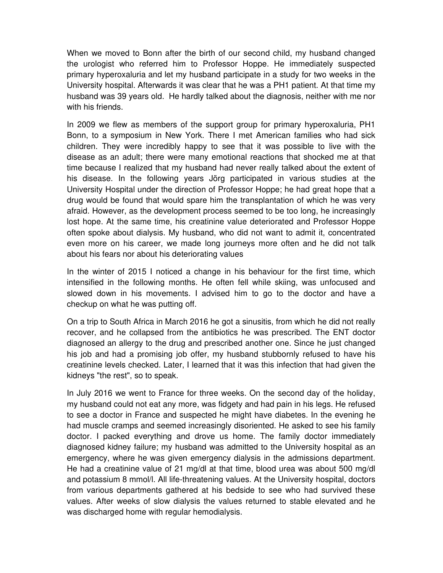When we moved to Bonn after the birth of our second child, my husband changed the urologist who referred him to Professor Hoppe. He immediately suspected primary hyperoxaluria and let my husband participate in a study for two weeks in the University hospital. Afterwards it was clear that he was a PH1 patient. At that time my husband was 39 years old. He hardly talked about the diagnosis, neither with me nor with his friends.

In 2009 we flew as members of the support group for primary hyperoxaluria, PH1 Bonn, to a symposium in New York. There I met American families who had sick children. They were incredibly happy to see that it was possible to live with the disease as an adult; there were many emotional reactions that shocked me at that time because I realized that my husband had never really talked about the extent of his disease. In the following years Jörg participated in various studies at the University Hospital under the direction of Professor Hoppe; he had great hope that a drug would be found that would spare him the transplantation of which he was very afraid. However, as the development process seemed to be too long, he increasingly lost hope. At the same time, his creatinine value deteriorated and Professor Hoppe often spoke about dialysis. My husband, who did not want to admit it, concentrated even more on his career, we made long journeys more often and he did not talk about his fears nor about his deteriorating values

In the winter of 2015 I noticed a change in his behaviour for the first time, which intensified in the following months. He often fell while skiing, was unfocused and slowed down in his movements. I advised him to go to the doctor and have a checkup on what he was putting off.

On a trip to South Africa in March 2016 he got a sinusitis, from which he did not really recover, and he collapsed from the antibiotics he was prescribed. The ENT doctor diagnosed an allergy to the drug and prescribed another one. Since he just changed his job and had a promising job offer, my husband stubbornly refused to have his creatinine levels checked. Later, I learned that it was this infection that had given the kidneys "the rest", so to speak.

In July 2016 we went to France for three weeks. On the second day of the holiday, my husband could not eat any more, was fidgety and had pain in his legs. He refused to see a doctor in France and suspected he might have diabetes. In the evening he had muscle cramps and seemed increasingly disoriented. He asked to see his family doctor. I packed everything and drove us home. The family doctor immediately diagnosed kidney failure; my husband was admitted to the University hospital as an emergency, where he was given emergency dialysis in the admissions department. He had a creatinine value of 21 mg/dl at that time, blood urea was about 500 mg/dl and potassium 8 mmol/l. All life-threatening values. At the University hospital, doctors from various departments gathered at his bedside to see who had survived these values. After weeks of slow dialysis the values returned to stable elevated and he was discharged home with regular hemodialysis.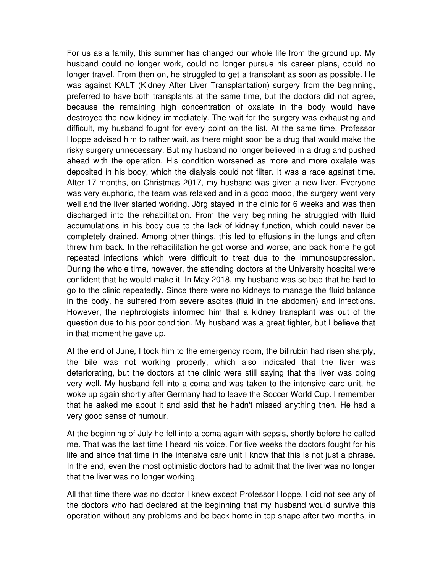For us as a family, this summer has changed our whole life from the ground up. My husband could no longer work, could no longer pursue his career plans, could no longer travel. From then on, he struggled to get a transplant as soon as possible. He was against KALT (Kidney After Liver Transplantation) surgery from the beginning, preferred to have both transplants at the same time, but the doctors did not agree, because the remaining high concentration of oxalate in the body would have destroyed the new kidney immediately. The wait for the surgery was exhausting and difficult, my husband fought for every point on the list. At the same time, Professor Hoppe advised him to rather wait, as there might soon be a drug that would make the risky surgery unnecessary. But my husband no longer believed in a drug and pushed ahead with the operation. His condition worsened as more and more oxalate was deposited in his body, which the dialysis could not filter. It was a race against time. After 17 months, on Christmas 2017, my husband was given a new liver. Everyone was very euphoric, the team was relaxed and in a good mood, the surgery went very well and the liver started working. Jörg stayed in the clinic for 6 weeks and was then discharged into the rehabilitation. From the very beginning he struggled with fluid accumulations in his body due to the lack of kidney function, which could never be completely drained. Among other things, this led to effusions in the lungs and often threw him back. In the rehabilitation he got worse and worse, and back home he got repeated infections which were difficult to treat due to the immunosuppression. During the whole time, however, the attending doctors at the University hospital were confident that he would make it. In May 2018, my husband was so bad that he had to go to the clinic repeatedly. Since there were no kidneys to manage the fluid balance in the body, he suffered from severe ascites (fluid in the abdomen) and infections. However, the nephrologists informed him that a kidney transplant was out of the question due to his poor condition. My husband was a great fighter, but I believe that in that moment he gave up.

At the end of June, I took him to the emergency room, the bilirubin had risen sharply, the bile was not working properly, which also indicated that the liver was deteriorating, but the doctors at the clinic were still saying that the liver was doing very well. My husband fell into a coma and was taken to the intensive care unit, he woke up again shortly after Germany had to leave the Soccer World Cup. I remember that he asked me about it and said that he hadn't missed anything then. He had a very good sense of humour.

At the beginning of July he fell into a coma again with sepsis, shortly before he called me. That was the last time I heard his voice. For five weeks the doctors fought for his life and since that time in the intensive care unit I know that this is not just a phrase. In the end, even the most optimistic doctors had to admit that the liver was no longer that the liver was no longer working.

All that time there was no doctor I knew except Professor Hoppe. I did not see any of the doctors who had declared at the beginning that my husband would survive this operation without any problems and be back home in top shape after two months, in